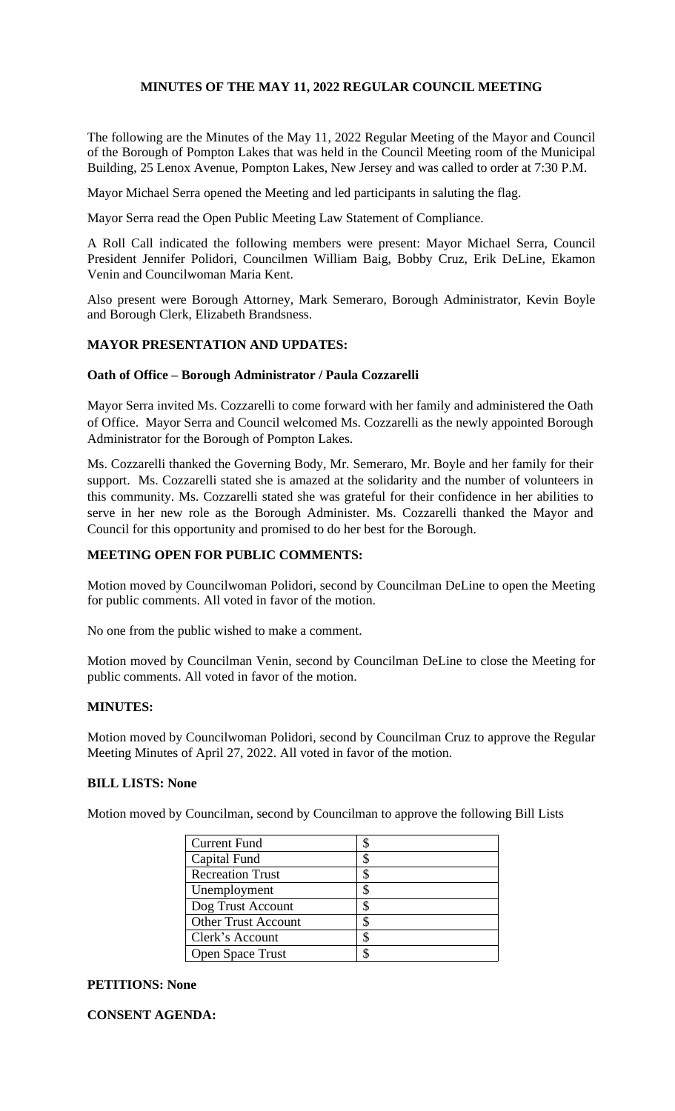## **MINUTES OF THE MAY 11, 2022 REGULAR COUNCIL MEETING**

The following are the Minutes of the May 11, 2022 Regular Meeting of the Mayor and Council of the Borough of Pompton Lakes that was held in the Council Meeting room of the Municipal Building, 25 Lenox Avenue, Pompton Lakes, New Jersey and was called to order at 7:30 P.M.

Mayor Michael Serra opened the Meeting and led participants in saluting the flag.

Mayor Serra read the Open Public Meeting Law Statement of Compliance.

A Roll Call indicated the following members were present: Mayor Michael Serra, Council President Jennifer Polidori, Councilmen William Baig, Bobby Cruz, Erik DeLine, Ekamon Venin and Councilwoman Maria Kent.

Also present were Borough Attorney, Mark Semeraro, Borough Administrator, Kevin Boyle and Borough Clerk, Elizabeth Brandsness.

## **MAYOR PRESENTATION AND UPDATES:**

## **Oath of Office – Borough Administrator / Paula Cozzarelli**

Mayor Serra invited Ms. Cozzarelli to come forward with her family and administered the Oath of Office. Mayor Serra and Council welcomed Ms. Cozzarelli as the newly appointed Borough Administrator for the Borough of Pompton Lakes.

Ms. Cozzarelli thanked the Governing Body, Mr. Semeraro, Mr. Boyle and her family for their support. Ms. Cozzarelli stated she is amazed at the solidarity and the number of volunteers in this community. Ms. Cozzarelli stated she was grateful for their confidence in her abilities to serve in her new role as the Borough Administer. Ms. Cozzarelli thanked the Mayor and Council for this opportunity and promised to do her best for the Borough.

## **MEETING OPEN FOR PUBLIC COMMENTS:**

Motion moved by Councilwoman Polidori, second by Councilman DeLine to open the Meeting for public comments. All voted in favor of the motion.

No one from the public wished to make a comment.

Motion moved by Councilman Venin, second by Councilman DeLine to close the Meeting for public comments. All voted in favor of the motion.

#### **MINUTES:**

Motion moved by Councilwoman Polidori, second by Councilman Cruz to approve the Regular Meeting Minutes of April 27, 2022. All voted in favor of the motion.

# **BILL LISTS: None**

Motion moved by Councilman, second by Councilman to approve the following Bill Lists

| <b>Current Fund</b>        |  |
|----------------------------|--|
| Capital Fund               |  |
| <b>Recreation Trust</b>    |  |
| Unemployment               |  |
| Dog Trust Account          |  |
| <b>Other Trust Account</b> |  |
| Clerk's Account            |  |
| <b>Open Space Trust</b>    |  |

#### **PETITIONS: None**

**CONSENT AGENDA:**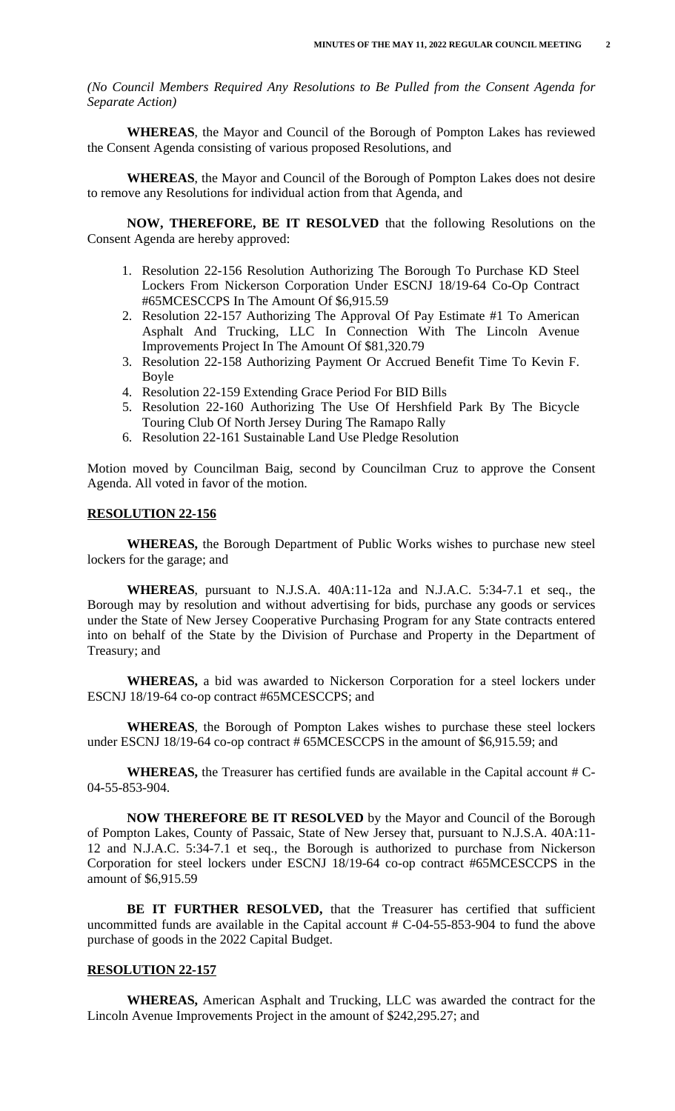*(No Council Members Required Any Resolutions to Be Pulled from the Consent Agenda for Separate Action)*

**WHEREAS**, the Mayor and Council of the Borough of Pompton Lakes has reviewed the Consent Agenda consisting of various proposed Resolutions, and

**WHEREAS**, the Mayor and Council of the Borough of Pompton Lakes does not desire to remove any Resolutions for individual action from that Agenda, and

**NOW, THEREFORE, BE IT RESOLVED** that the following Resolutions on the Consent Agenda are hereby approved:

- 1. Resolution 22-156 Resolution Authorizing The Borough To Purchase KD Steel Lockers From Nickerson Corporation Under ESCNJ 18/19-64 Co-Op Contract #65MCESCCPS In The Amount Of \$6,915.59
- 2. Resolution 22-157 Authorizing The Approval Of Pay Estimate #1 To American Asphalt And Trucking, LLC In Connection With The Lincoln Avenue Improvements Project In The Amount Of \$81,320.79
- 3. Resolution 22-158 Authorizing Payment Or Accrued Benefit Time To Kevin F. Boyle
- 4. Resolution 22-159 Extending Grace Period For BID Bills
- 5. Resolution 22-160 Authorizing The Use Of Hershfield Park By The Bicycle Touring Club Of North Jersey During The Ramapo Rally
- 6. Resolution 22-161 Sustainable Land Use Pledge Resolution

Motion moved by Councilman Baig, second by Councilman Cruz to approve the Consent Agenda. All voted in favor of the motion.

#### **RESOLUTION 22-156**

**WHEREAS,** the Borough Department of Public Works wishes to purchase new steel lockers for the garage; and

**WHEREAS**, pursuant to N.J.S.A. 40A:11-12a and N.J.A.C. 5:34-7.1 et seq., the Borough may by resolution and without advertising for bids, purchase any goods or services under the State of New Jersey Cooperative Purchasing Program for any State contracts entered into on behalf of the State by the Division of Purchase and Property in the Department of Treasury; and

**WHEREAS,** a bid was awarded to Nickerson Corporation for a steel lockers under ESCNJ 18/19-64 co-op contract #65MCESCCPS; and

**WHEREAS**, the Borough of Pompton Lakes wishes to purchase these steel lockers under ESCNJ 18/19-64 co-op contract # 65MCESCCPS in the amount of \$6,915.59; and

**WHEREAS,** the Treasurer has certified funds are available in the Capital account # C-04-55-853-904.

**NOW THEREFORE BE IT RESOLVED** by the Mayor and Council of the Borough of Pompton Lakes, County of Passaic, State of New Jersey that, pursuant to N.J.S.A. 40A:11- 12 and N.J.A.C. 5:34-7.1 et seq., the Borough is authorized to purchase from Nickerson Corporation for steel lockers under ESCNJ 18/19-64 co-op contract #65MCESCCPS in the amount of \$6,915.59

**BE IT FURTHER RESOLVED,** that the Treasurer has certified that sufficient uncommitted funds are available in the Capital account  $\# C$ -04-55-853-904 to fund the above purchase of goods in the 2022 Capital Budget.

#### **RESOLUTION 22-157**

**WHEREAS,** American Asphalt and Trucking, LLC was awarded the contract for the Lincoln Avenue Improvements Project in the amount of \$242,295.27; and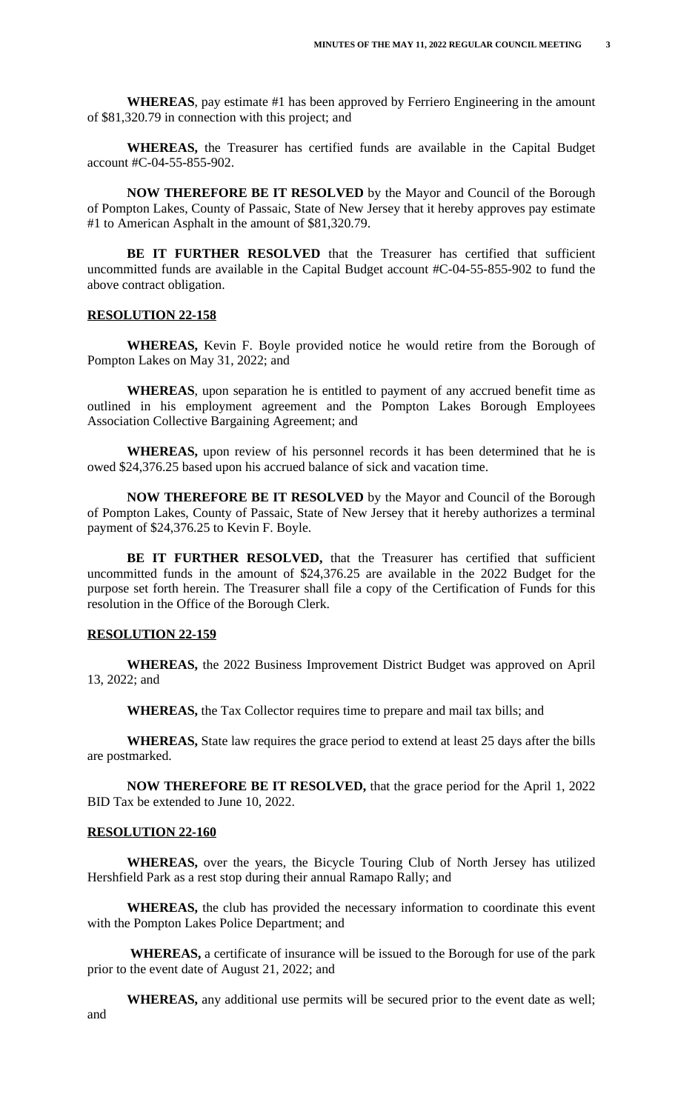**WHEREAS**, pay estimate #1 has been approved by Ferriero Engineering in the amount of \$81,320.79 in connection with this project; and

**WHEREAS,** the Treasurer has certified funds are available in the Capital Budget account #C-04-55-855-902.

**NOW THEREFORE BE IT RESOLVED** by the Mayor and Council of the Borough of Pompton Lakes, County of Passaic, State of New Jersey that it hereby approves pay estimate #1 to American Asphalt in the amount of \$81,320.79.

**BE IT FURTHER RESOLVED** that the Treasurer has certified that sufficient uncommitted funds are available in the Capital Budget account #C-04-55-855-902 to fund the above contract obligation.

#### **RESOLUTION 22-158**

**WHEREAS,** Kevin F. Boyle provided notice he would retire from the Borough of Pompton Lakes on May 31, 2022; and

**WHEREAS**, upon separation he is entitled to payment of any accrued benefit time as outlined in his employment agreement and the Pompton Lakes Borough Employees Association Collective Bargaining Agreement; and

**WHEREAS,** upon review of his personnel records it has been determined that he is owed \$24,376.25 based upon his accrued balance of sick and vacation time.

**NOW THEREFORE BE IT RESOLVED** by the Mayor and Council of the Borough of Pompton Lakes, County of Passaic, State of New Jersey that it hereby authorizes a terminal payment of \$24,376.25 to Kevin F. Boyle.

**BE IT FURTHER RESOLVED,** that the Treasurer has certified that sufficient uncommitted funds in the amount of \$24,376.25 are available in the 2022 Budget for the purpose set forth herein. The Treasurer shall file a copy of the Certification of Funds for this resolution in the Office of the Borough Clerk.

## **RESOLUTION 22-159**

**WHEREAS,** the 2022 Business Improvement District Budget was approved on April 13, 2022; and

**WHEREAS,** the Tax Collector requires time to prepare and mail tax bills; and

**WHEREAS,** State law requires the grace period to extend at least 25 days after the bills are postmarked.

**NOW THEREFORE BE IT RESOLVED,** that the grace period for the April 1, 2022 BID Tax be extended to June 10, 2022.

#### **RESOLUTION 22-160**

**WHEREAS,** over the years, the Bicycle Touring Club of North Jersey has utilized Hershfield Park as a rest stop during their annual Ramapo Rally; and

 **WHEREAS,** the club has provided the necessary information to coordinate this event with the Pompton Lakes Police Department; and

 **WHEREAS,** a certificate of insurance will be issued to the Borough for use of the park prior to the event date of August 21, 2022; and

 **WHEREAS,** any additional use permits will be secured prior to the event date as well; and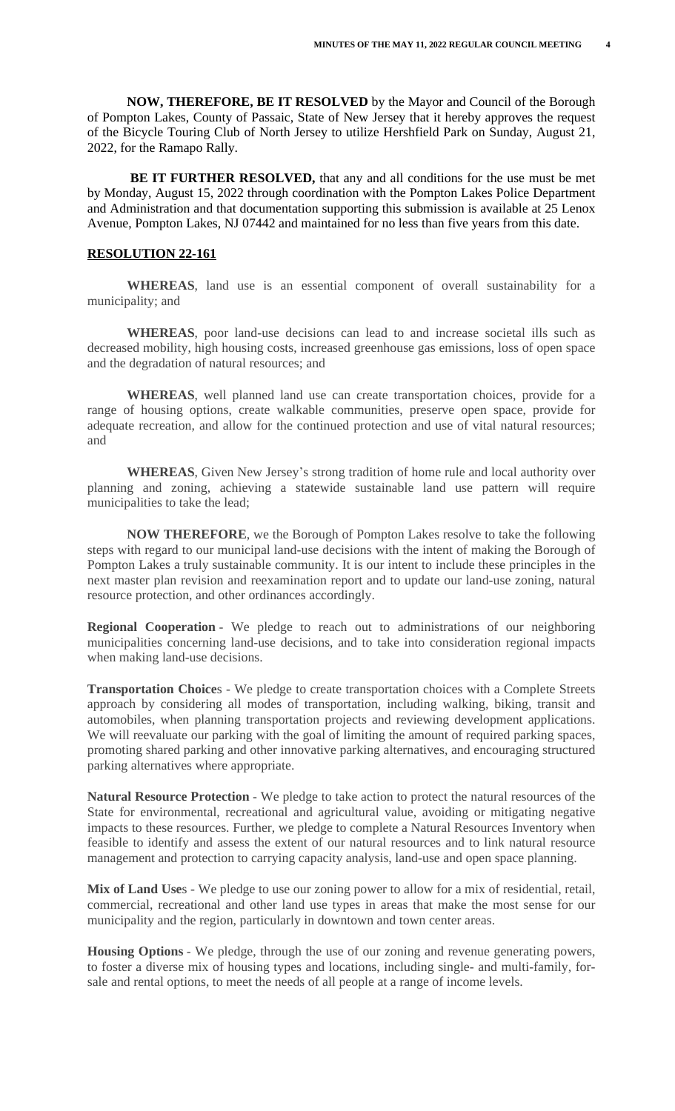**NOW, THEREFORE, BE IT RESOLVED** by the Mayor and Council of the Borough of Pompton Lakes, County of Passaic, State of New Jersey that it hereby approves the request of the Bicycle Touring Club of North Jersey to utilize Hershfield Park on Sunday, August 21, 2022, for the Ramapo Rally.

 **BE IT FURTHER RESOLVED,** that any and all conditions for the use must be met by Monday, August 15, 2022 through coordination with the Pompton Lakes Police Department and Administration and that documentation supporting this submission is available at 25 Lenox Avenue, Pompton Lakes, NJ 07442 and maintained for no less than five years from this date.

#### **RESOLUTION 22-161**

**WHEREAS**, land use is an essential component of overall sustainability for a municipality; and

**WHEREAS**, poor land-use decisions can lead to and increase societal ills such as decreased mobility, high housing costs, increased greenhouse gas emissions, loss of open space and the degradation of natural resources; and

**WHEREAS**, well planned land use can create transportation choices, provide for a range of housing options, create walkable communities, preserve open space, provide for adequate recreation, and allow for the continued protection and use of vital natural resources; and

**WHEREAS**, Given New Jersey's strong tradition of home rule and local authority over planning and zoning, achieving a statewide sustainable land use pattern will require municipalities to take the lead;

**NOW THEREFORE**, we the Borough of Pompton Lakes resolve to take the following steps with regard to our municipal land-use decisions with the intent of making the Borough of Pompton Lakes a truly sustainable community. It is our intent to include these principles in the next master plan revision and reexamination report and to update our land-use zoning, natural resource protection, and other ordinances accordingly.

**Regional Cooperation** - We pledge to reach out to administrations of our neighboring municipalities concerning land-use decisions, and to take into consideration regional impacts when making land-use decisions.

**Transportation Choice**s - We pledge to create transportation choices with a Complete Streets approach by considering all modes of transportation, including walking, biking, transit and automobiles, when planning transportation projects and reviewing development applications. We will reevaluate our parking with the goal of limiting the amount of required parking spaces, promoting shared parking and other innovative parking alternatives, and encouraging structured parking alternatives where appropriate.

**Natural Resource Protection** - We pledge to take action to protect the natural resources of the State for environmental, recreational and agricultural value, avoiding or mitigating negative impacts to these resources. Further, we pledge to complete a Natural Resources Inventory when feasible to identify and assess the extent of our natural resources and to link natural resource management and protection to carrying capacity analysis, land-use and open space planning.

**Mix of Land Use**s - We pledge to use our zoning power to allow for a mix of residential, retail, commercial, recreational and other land use types in areas that make the most sense for our municipality and the region, particularly in downtown and town center areas.

**Housing Options** - We pledge, through the use of our zoning and revenue generating powers, to foster a diverse mix of housing types and locations, including single- and multi-family, forsale and rental options, to meet the needs of all people at a range of income levels.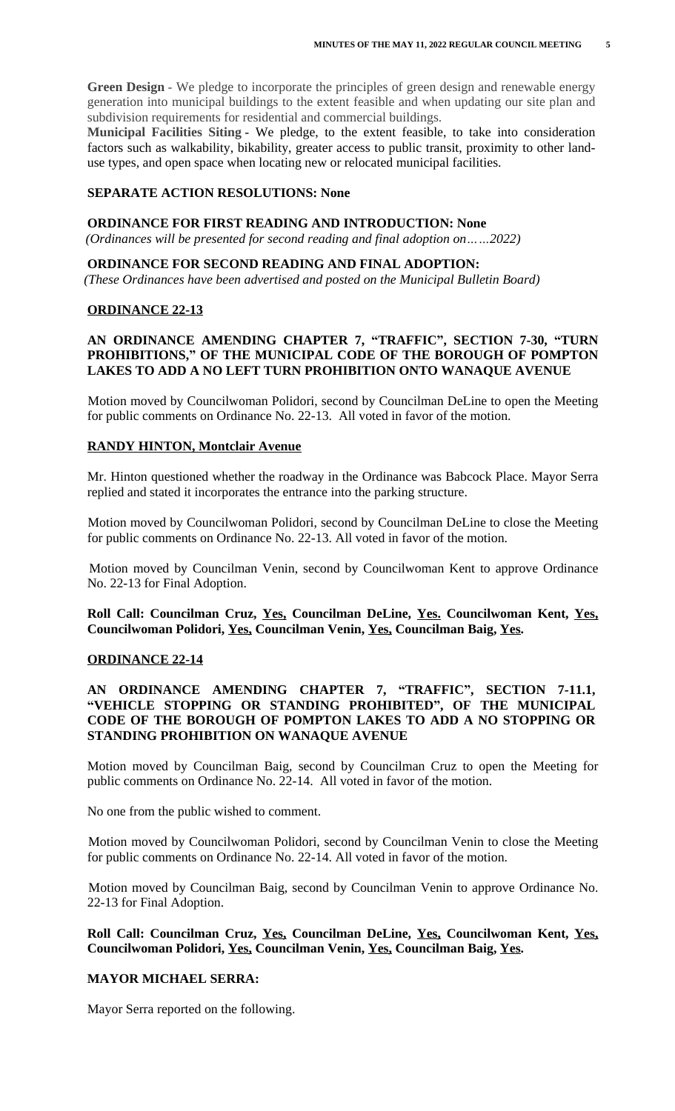**Green Design** - We pledge to incorporate the principles of green design and renewable energy generation into municipal buildings to the extent feasible and when updating our site plan and subdivision requirements for residential and commercial buildings.

**Municipal Facilities Siting** - We pledge, to the extent feasible, to take into consideration factors such as walkability, bikability, greater access to public transit, proximity to other landuse types, and open space when locating new or relocated municipal facilities.

## **SEPARATE ACTION RESOLUTIONS: None**

#### **ORDINANCE FOR FIRST READING AND INTRODUCTION: None**

 *(Ordinances will be presented for second reading and final adoption on……2022)*

#### **ORDINANCE FOR SECOND READING AND FINAL ADOPTION:**

 *(These Ordinances have been advertised and posted on the Municipal Bulletin Board)*

#### **ORDINANCE 22-13**

## **AN ORDINANCE AMENDING CHAPTER 7, "TRAFFIC" , SECTION 7-30, "TURN PROHIBITIONS, " OF THE MUNICIPAL CODE OF THE BOROUGH OF POMPTON LAKES TO ADD A NO LEFT TURN PROHIBITION ONTO WANAQUE AVENUE**

Motion moved by Councilwoman Polidori, second by Councilman DeLine to open the Meeting for public comments on Ordinance No. 22-13. All voted in favor of the motion.

#### **RANDY HINTON, Montclair Avenue**

Mr. Hinton questioned whether the roadway in the Ordinance was Babcock Place. Mayor Serra replied and stated it incorporates the entrance into the parking structure.

Motion moved by Councilwoman Polidori, second by Councilman DeLine to close the Meeting for public comments on Ordinance No. 22-13. All voted in favor of the motion.

Motion moved by Councilman Venin, second by Councilwoman Kent to approve Ordinance No. 22-13 for Final Adoption.

**Roll Call: Councilman Cruz, Yes, Councilman DeLine, Yes. Councilwoman Kent, Yes, Councilwoman Polidori, Yes, Councilman Venin, Yes, Councilman Baig, Yes.**

#### **ORDINANCE 22-14**

## **AN ORDINANCE AMENDING CHAPTER 7, "TRAFFIC" , SECTION 7-11.1, "VEHICLE STOPPING OR STANDING PROHIBITED" , OF THE MUNICIPAL CODE OF THE BOROUGH OF POMPTON LAKES TO ADD A NO STOPPING OR STANDING PROHIBITION ON WANAQUE AVENUE**

Motion moved by Councilman Baig, second by Councilman Cruz to open the Meeting for public comments on Ordinance No. 22-14. All voted in favor of the motion.

No one from the public wished to comment.

Motion moved by Councilwoman Polidori, second by Councilman Venin to close the Meeting for public comments on Ordinance No. 22-14. All voted in favor of the motion.

Motion moved by Councilman Baig, second by Councilman Venin to approve Ordinance No. 22-13 for Final Adoption.

**Roll Call: Councilman Cruz, Yes, Councilman DeLine, Yes, Councilwoman Kent, Yes, Councilwoman Polidori, Yes, Councilman Venin, Yes, Councilman Baig, Yes.**

#### **MAYOR MICHAEL SERRA:**

Mayor Serra reported on the following.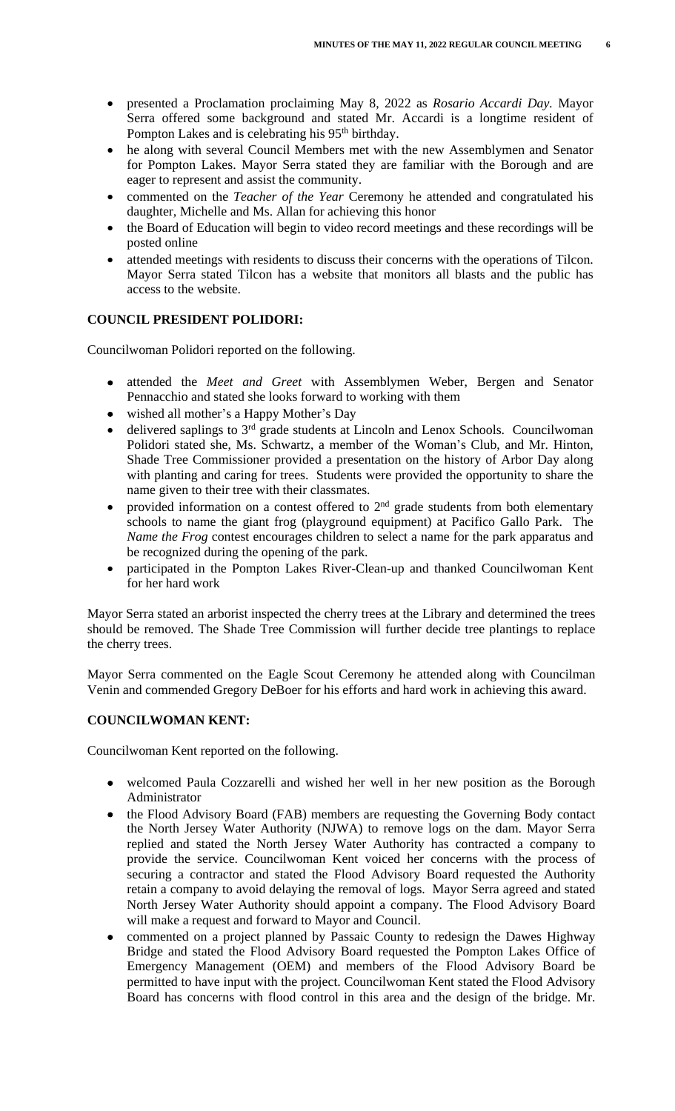- presented a Proclamation proclaiming May 8, 2022 as *Rosario Accardi Day.* Mayor Serra offered some background and stated Mr. Accardi is a longtime resident of Pompton Lakes and is celebrating his 95<sup>th</sup> birthday.
- he along with several Council Members met with the new Assemblymen and Senator for Pompton Lakes. Mayor Serra stated they are familiar with the Borough and are eager to represent and assist the community.
- commented on the *Teacher of the Year* Ceremony he attended and congratulated his daughter, Michelle and Ms. Allan for achieving this honor
- the Board of Education will begin to video record meetings and these recordings will be posted online
- attended meetings with residents to discuss their concerns with the operations of Tilcon. Mayor Serra stated Tilcon has a website that monitors all blasts and the public has access to the website.

## **COUNCIL PRESIDENT POLIDORI:**

Councilwoman Polidori reported on the following.

- attended the *Meet and Greet* with Assemblymen Weber, Bergen and Senator Pennacchio and stated she looks forward to working with them
- wished all mother's a Happy Mother's Day
- delivered saplings to 3<sup>rd</sup> grade students at Lincoln and Lenox Schools. Councilwoman Polidori stated she, Ms. Schwartz, a member of the Woman's Club, and Mr. Hinton, Shade Tree Commissioner provided a presentation on the history of Arbor Day along with planting and caring for trees. Students were provided the opportunity to share the name given to their tree with their classmates.
- provided information on a contest offered to  $2<sup>nd</sup>$  grade students from both elementary schools to name the giant frog (playground equipment) at Pacifico Gallo Park. The *Name the Frog* contest encourages children to select a name for the park apparatus and be recognized during the opening of the park.
- participated in the Pompton Lakes River-Clean-up and thanked Councilwoman Kent for her hard work

Mayor Serra stated an arborist inspected the cherry trees at the Library and determined the trees should be removed. The Shade Tree Commission will further decide tree plantings to replace the cherry trees.

Mayor Serra commented on the Eagle Scout Ceremony he attended along with Councilman Venin and commended Gregory DeBoer for his efforts and hard work in achieving this award.

## **COUNCILWOMAN KENT:**

Councilwoman Kent reported on the following.

- welcomed Paula Cozzarelli and wished her well in her new position as the Borough Administrator
- the Flood Advisory Board (FAB) members are requesting the Governing Body contact the North Jersey Water Authority (NJWA) to remove logs on the dam. Mayor Serra replied and stated the North Jersey Water Authority has contracted a company to provide the service. Councilwoman Kent voiced her concerns with the process of securing a contractor and stated the Flood Advisory Board requested the Authority retain a company to avoid delaying the removal of logs. Mayor Serra agreed and stated North Jersey Water Authority should appoint a company. The Flood Advisory Board will make a request and forward to Mayor and Council.
- commented on a project planned by Passaic County to redesign the Dawes Highway Bridge and stated the Flood Advisory Board requested the Pompton Lakes Office of Emergency Management (OEM) and members of the Flood Advisory Board be permitted to have input with the project. Councilwoman Kent stated the Flood Advisory Board has concerns with flood control in this area and the design of the bridge. Mr.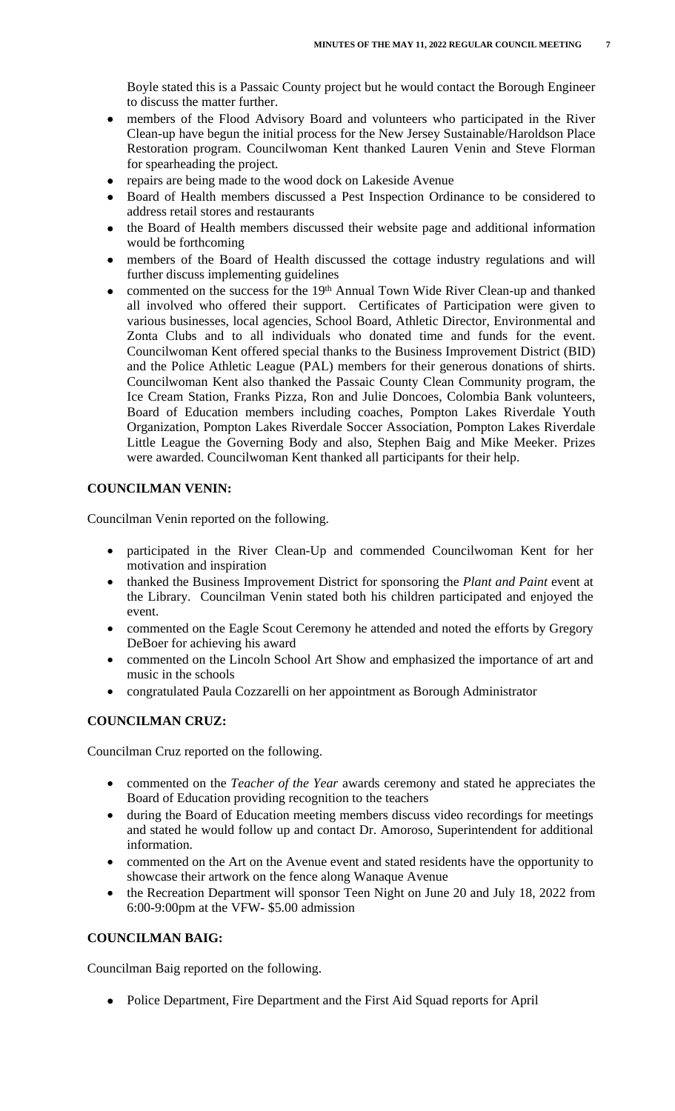Boyle stated this is a Passaic County project but he would contact the Borough Engineer to discuss the matter further.

- members of the Flood Advisory Board and volunteers who participated in the River Clean-up have begun the initial process for the New Jersey Sustainable/Haroldson Place Restoration program. Councilwoman Kent thanked Lauren Venin and Steve Florman for spearheading the project.
- repairs are being made to the wood dock on Lakeside Avenue
- Board of Health members discussed a Pest Inspection Ordinance to be considered to address retail stores and restaurants
- the Board of Health members discussed their website page and additional information would be forthcoming
- members of the Board of Health discussed the cottage industry regulations and will further discuss implementing guidelines
- commented on the success for the 19th Annual Town Wide River Clean-up and thanked all involved who offered their support. Certificates of Participation were given to various businesses, local agencies, School Board, Athletic Director, Environmental and Zonta Clubs and to all individuals who donated time and funds for the event. Councilwoman Kent offered special thanks to the Business Improvement District (BID) and the Police Athletic League (PAL) members for their generous donations of shirts. Councilwoman Kent also thanked the Passaic County Clean Community program, the Ice Cream Station, Franks Pizza, Ron and Julie Doncoes, Colombia Bank volunteers, Board of Education members including coaches, Pompton Lakes Riverdale Youth Organization, Pompton Lakes Riverdale Soccer Association, Pompton Lakes Riverdale Little League the Governing Body and also, Stephen Baig and Mike Meeker. Prizes were awarded. Councilwoman Kent thanked all participants for their help.

## **COUNCILMAN VENIN:**

Councilman Venin reported on the following.

- participated in the River Clean-Up and commended Councilwoman Kent for her motivation and inspiration
- thanked the Business Improvement District for sponsoring the *Plant and Paint* event at the Library. Councilman Venin stated both his children participated and enjoyed the event.
- commented on the Eagle Scout Ceremony he attended and noted the efforts by Gregory DeBoer for achieving his award
- commented on the Lincoln School Art Show and emphasized the importance of art and music in the schools
- congratulated Paula Cozzarelli on her appointment as Borough Administrator

## **COUNCILMAN CRUZ:**

Councilman Cruz reported on the following.

- commented on the *Teacher of the Year* awards ceremony and stated he appreciates the Board of Education providing recognition to the teachers
- during the Board of Education meeting members discuss video recordings for meetings and stated he would follow up and contact Dr. Amoroso, Superintendent for additional information.
- commented on the Art on the Avenue event and stated residents have the opportunity to showcase their artwork on the fence along Wanaque Avenue
- the Recreation Department will sponsor Teen Night on June 20 and July 18, 2022 from 6:00-9:00pm at the VFW- \$5.00 admission

## **COUNCILMAN BAIG:**

Councilman Baig reported on the following.

• Police Department, Fire Department and the First Aid Squad reports for April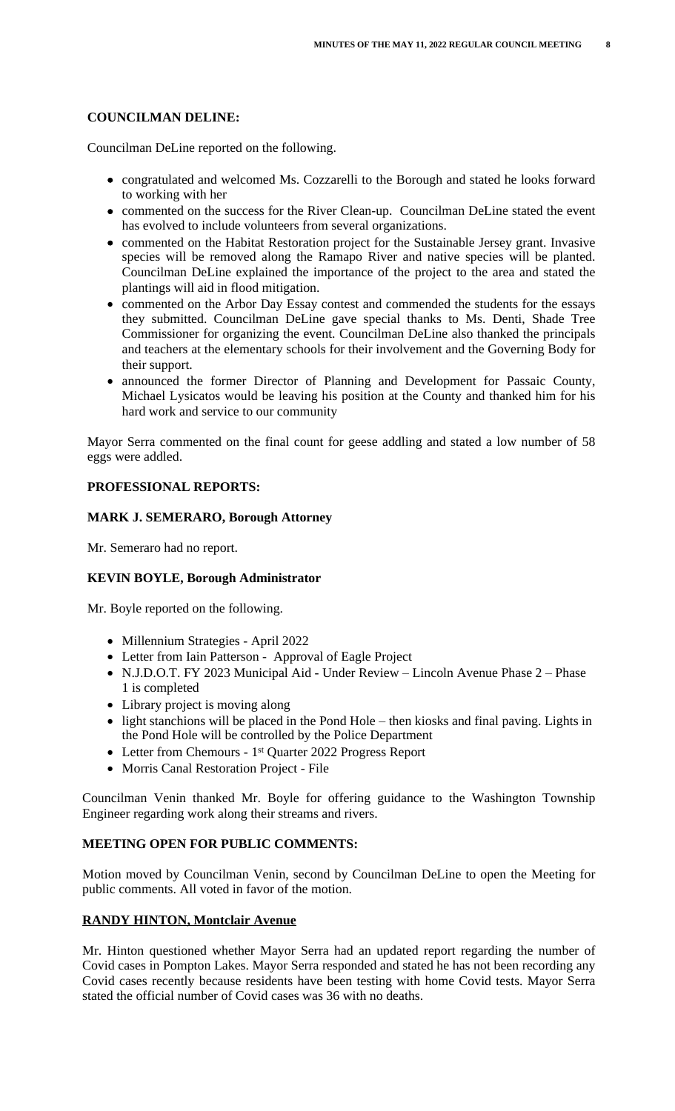## **COUNCILMAN DELINE:**

Councilman DeLine reported on the following.

- congratulated and welcomed Ms. Cozzarelli to the Borough and stated he looks forward to working with her
- commented on the success for the River Clean-up. Councilman DeLine stated the event has evolved to include volunteers from several organizations.
- commented on the Habitat Restoration project for the Sustainable Jersey grant. Invasive species will be removed along the Ramapo River and native species will be planted. Councilman DeLine explained the importance of the project to the area and stated the plantings will aid in flood mitigation.
- commented on the Arbor Day Essay contest and commended the students for the essays they submitted. Councilman DeLine gave special thanks to Ms. Denti, Shade Tree Commissioner for organizing the event. Councilman DeLine also thanked the principals and teachers at the elementary schools for their involvement and the Governing Body for their support.
- announced the former Director of Planning and Development for Passaic County, Michael Lysicatos would be leaving his position at the County and thanked him for his hard work and service to our community

Mayor Serra commented on the final count for geese addling and stated a low number of 58 eggs were addled.

## **PROFESSIONAL REPORTS:**

## **MARK J. SEMERARO, Borough Attorney**

Mr. Semeraro had no report.

## **KEVIN BOYLE, Borough Administrator**

Mr. Boyle reported on the following.

- Millennium Strategies April 2022
- Letter from Iain Patterson Approval of Eagle Project
- N.J.D.O.T. FY 2023 Municipal Aid Under Review Lincoln Avenue Phase 2 Phase 1 is completed
- Library project is moving along
- light stanchions will be placed in the Pond Hole then kiosks and final paving. Lights in the Pond Hole will be controlled by the Police Department
- Letter from Chemours 1<sup>st</sup> Quarter 2022 Progress Report
- Morris Canal Restoration Project File

Councilman Venin thanked Mr. Boyle for offering guidance to the Washington Township Engineer regarding work along their streams and rivers.

#### **MEETING OPEN FOR PUBLIC COMMENTS:**

Motion moved by Councilman Venin, second by Councilman DeLine to open the Meeting for public comments. All voted in favor of the motion.

## **RANDY HINTON, Montclair Avenue**

Mr. Hinton questioned whether Mayor Serra had an updated report regarding the number of Covid cases in Pompton Lakes. Mayor Serra responded and stated he has not been recording any Covid cases recently because residents have been testing with home Covid tests. Mayor Serra stated the official number of Covid cases was 36 with no deaths.